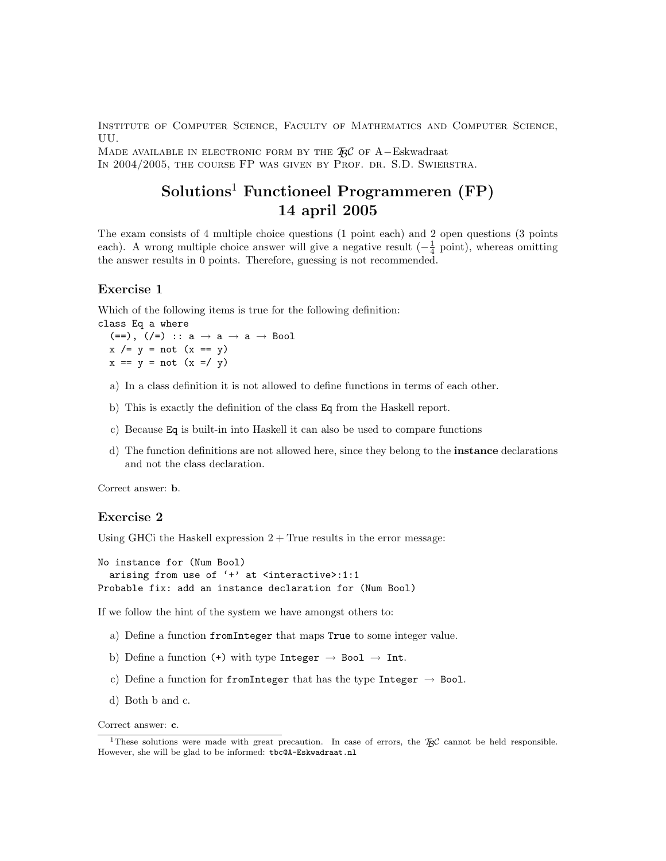Institute of Computer Science, Faculty of Mathematics and Computer Science, UU.

MADE AVAILABLE IN ELECTRONIC FORM BY THE  $\mathbb{R}C$  of A–Eskwadraat In 2004/2005, the course FP was given by Prof. dr. S.D. Swierstra.

# Solutions<sup>1</sup> Functioneel Programmeren (FP) 14 april 2005

The exam consists of 4 multiple choice questions (1 point each) and 2 open questions (3 points each). A wrong multiple choice answer will give a negative result  $\left(-\frac{1}{4} \text{ point}\right)$ , whereas omitting the answer results in 0 points. Therefore, guessing is not recommended.

# Exercise 1

Which of the following items is true for the following definition: class Eq a where

(==), (/=) ::  $a \rightarrow a \rightarrow a \rightarrow$  Bool  $x$  /=  $y$  = not  $(x == y)$  $x == y = not (x =& y)$ 

- a) In a class definition it is not allowed to define functions in terms of each other.
- b) This is exactly the definition of the class Eq from the Haskell report.
- c) Because Eq is built-in into Haskell it can also be used to compare functions
- d) The function definitions are not allowed here, since they belong to the instance declarations and not the class declaration.

Correct answer: b.

### Exercise 2

Using GHCi the Haskell expression  $2 + True$  results in the error message:

```
No instance for (Num Bool)
 arising from use of '+' at <interactive>:1:1
Probable fix: add an instance declaration for (Num Bool)
```
If we follow the hint of the system we have amongst others to:

- a) Define a function fromInteger that maps True to some integer value.
- b) Define a function (+) with type Integer  $\rightarrow$  Bool  $\rightarrow$  Int.
- c) Define a function for from Integer that has the type Integer  $\rightarrow$  Bool.
- d) Both b and c.

Correct answer: c.

<sup>&</sup>lt;sup>1</sup>These solutions were made with great precaution. In case of errors, the  $\mathcal{H}_{\beta}C$  cannot be held responsible. However, she will be glad to be informed: tbc@A-Eskwadraat.nl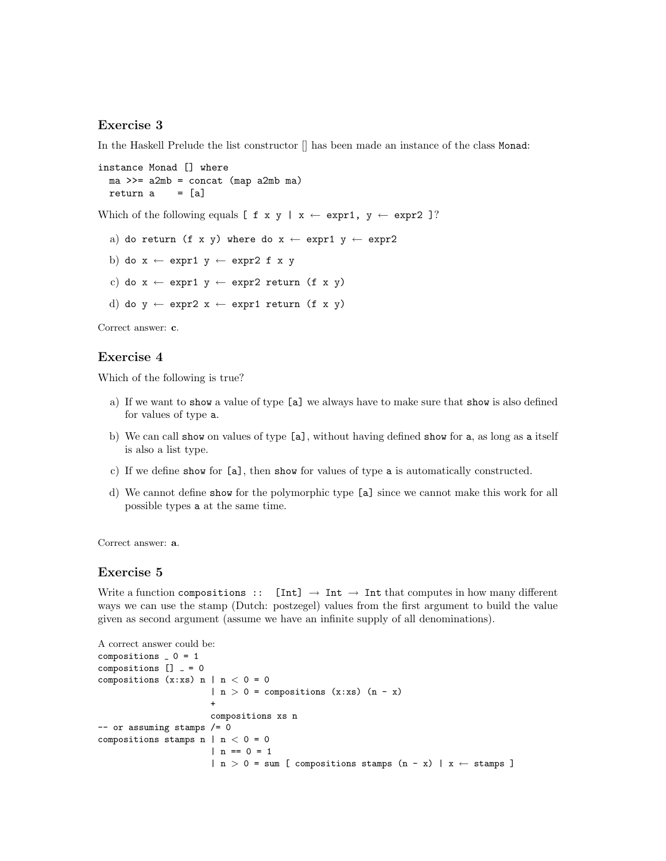### Exercise 3

In the Haskell Prelude the list constructor [] has been made an instance of the class Monad:

```
instance Monad [] where
 ma >>= a2mb = concat (map a2mb ma)
 return a = [a]
```
Which of the following equals  $\left[\begin{array}{ccc} f & x & y \end{array} \right] \cdot x \leftarrow \text{expr1}, y \leftarrow \text{expr2} \right]$ ?

a) do return (f x y) where do  $x \leftarrow \text{expr1 } y \leftarrow \text{expr2}$ 

b) do  $x \leftarrow expr1 y \leftarrow expr2 f x y$ 

c) do  $x \leftarrow exp r1 y \leftarrow exp r2 return (f x y)$ 

```
d) do y \leftarrow \text{expr2 } x \leftarrow \text{expr1 return (f x y)}
```
Correct answer: c.

#### Exercise 4

Which of the following is true?

- a) If we want to show a value of type [a] we always have to make sure that show is also defined for values of type a.
- b) We can call show on values of type [a], without having defined show for a, as long as a itself is also a list type.
- c) If we define show for [a], then show for values of type a is automatically constructed.
- d) We cannot define show for the polymorphic type [a] since we cannot make this work for all possible types a at the same time.

Correct answer: a.

#### Exercise 5

Write a function compositions ::  $[Int] \rightarrow Int \rightarrow Int$  that computes in how many different ways we can use the stamp (Dutch: postzegel) values from the first argument to build the value given as second argument (assume we have an infinite supply of all denominations).

```
A correct answer could be:
compositions = 0 = 1compositions [] = 0compositions (x:xs) n | n < 0 = 0
                      | n > 0 = compositions (x:xs) (n - x)+
                      compositions xs n
-- or assuming stamps /= 0
compositions stamps n | n < 0 = 0| n == 0 = 1| n > 0 = sum [ compositions stamps (n - x) | x \leftarrow stamps ]
```